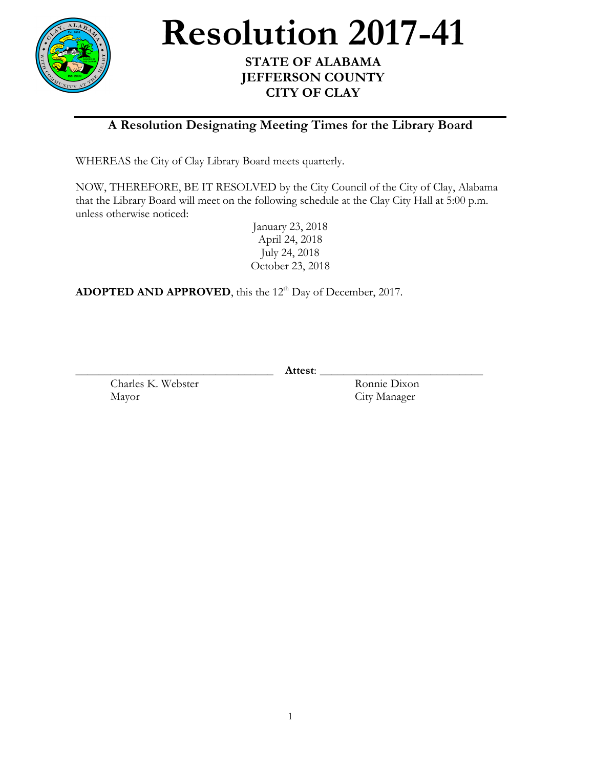

**Resolution** 2017-41

## **JEFFERSON COUNTY CITY OF CLAY**

## **A Resolution Designating Meeting Times for the Library Board**

WHEREAS the City of Clay Library Board meets quarterly.

NOW, THEREFORE, BE IT RESOLVED by the City Council of the City of Clay, Alabama that the Library Board will meet on the following schedule at the Clay City Hall at 5:00 p.m. unless otherwise noticed:

January 23, 2018 April 24, 2018 July 24, 2018 October 23, 2018

ADOPTED AND APPROVED, this the 12<sup>th</sup> Day of December, 2017.

\_\_\_\_\_\_\_\_\_\_\_\_\_\_\_\_\_\_\_\_\_\_\_\_\_\_\_\_\_\_\_\_\_\_ **Attest**: \_\_\_\_\_\_\_\_\_\_\_\_\_\_\_\_\_\_\_\_\_\_\_\_\_\_\_\_

Charles K. Webster Ronnie Dixon Mayor City Manager